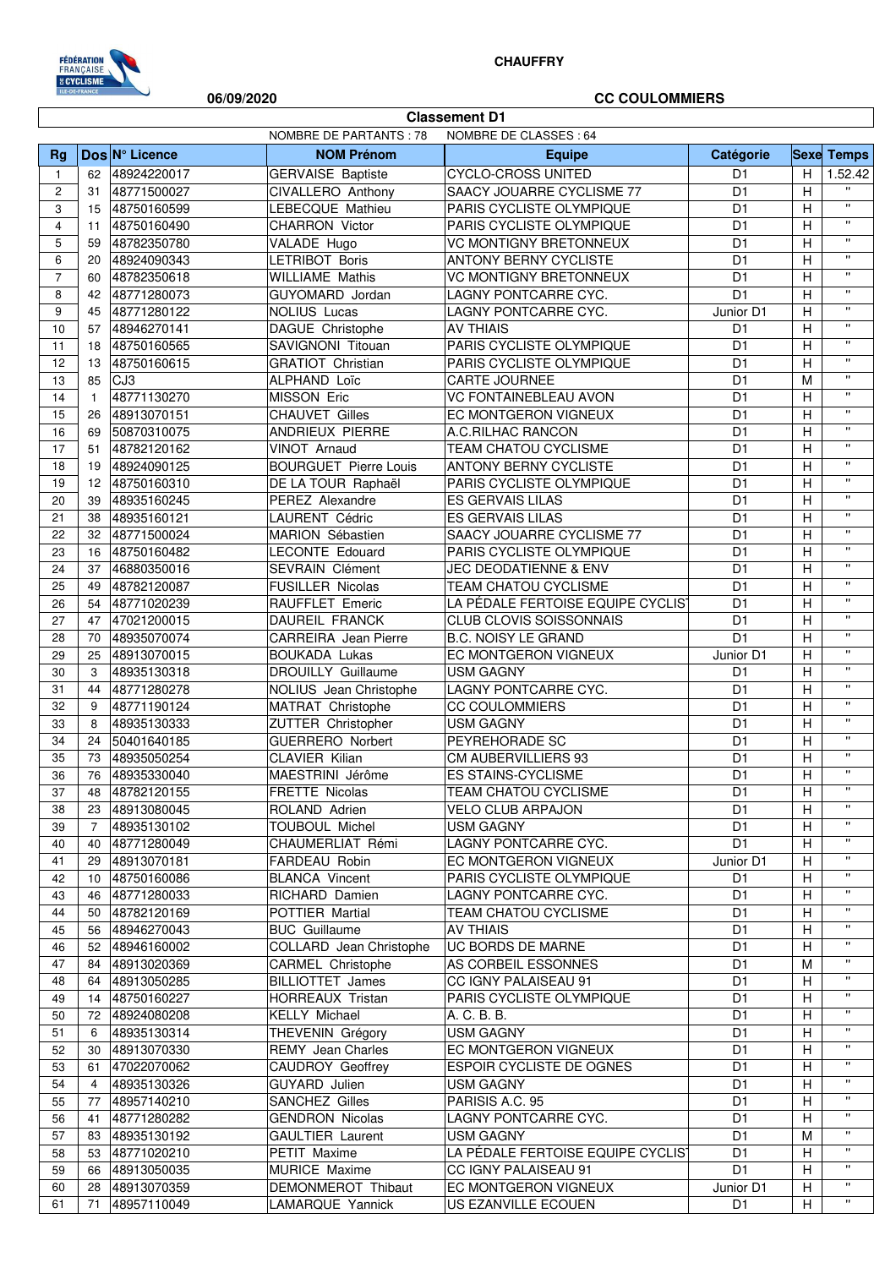

## **CHAUFFRY**

### **06/09/2020 CC COULOMMIERS**

 $\overline{\phantom{a}}$ 

| <b>Classement D1</b> |                |                            |                                         |                                                        |                                  |                |                                                        |  |
|----------------------|----------------|----------------------------|-----------------------------------------|--------------------------------------------------------|----------------------------------|----------------|--------------------------------------------------------|--|
|                      |                |                            | NOMBRE DE PARTANTS : 78                 | NOMBRE DE CLASSES : 64                                 |                                  |                |                                                        |  |
| Rg                   |                | Dos N° Licence             | <b>NOM Prénom</b>                       | <b>Equipe</b>                                          | Catégorie                        |                | <b>Sexe Temps</b>                                      |  |
| $\mathbf{1}$         | 62             | 48924220017                | <b>GERVAISE Baptiste</b>                | <b>CYCLO-CROSS UNITED</b>                              | D <sub>1</sub>                   | H.             | 1.52.42                                                |  |
| $\overline{c}$       | 31             | 48771500027                | CIVALLERO Anthony                       | SAACY JOUARRE CYCLISME 77                              | D <sub>1</sub>                   | H              | $\mathbf{H}$<br>$\boldsymbol{\mathsf{H}}$              |  |
| 3                    | 15             | 48750160599                | LEBECQUE Mathieu                        | PARIS CYCLISTE OLYMPIQUE                               | D <sub>1</sub>                   | Н              | $\boldsymbol{\mathsf{H}}$                              |  |
| 4<br>5               | 11             | 48750160490                | <b>CHARRON Victor</b>                   | PARIS CYCLISTE OLYMPIQUE                               | D <sub>1</sub><br>D <sub>1</sub> | Н<br>H         | $\pmb{\mathsf{H}}$                                     |  |
| 6                    | 59<br>20       | 48782350780                | VALADE Hugo<br>LETRIBOT Boris           | <b>VC MONTIGNY BRETONNEUX</b><br>ANTONY BERNY CYCLISTE | D <sub>1</sub>                   | H              | $\boldsymbol{\mathsf{H}}$                              |  |
| $\overline{7}$       | 60             | 48924090343<br>48782350618 | <b>WILLIAME Mathis</b>                  | <b>VC MONTIGNY BRETONNEUX</b>                          | D <sub>1</sub>                   | H              | $\boldsymbol{\mathsf{H}}$                              |  |
| 8                    | 42             | 48771280073                | GUYOMARD Jordan                         | LAGNY PONTCARRE CYC.                                   | $\overline{D1}$                  | Η              | $\boldsymbol{\mathsf{H}}$                              |  |
| 9                    | 45             | 48771280122                | <b>NOLIUS Lucas</b>                     | LAGNY PONTCARRE CYC.                                   | Junior D1                        | H              | $\pmb{\mathsf{u}}$                                     |  |
| 10                   | 57             | 48946270141                | DAGUE Christophe                        | <b>AV THIAIS</b>                                       | D <sub>1</sub>                   | H              | $\boldsymbol{\mathsf{u}}$                              |  |
| 11                   | 18             | 48750160565                | SAVIGNONI Titouan                       | PARIS CYCLISTE OLYMPIQUE                               | D <sub>1</sub>                   | H              | $\boldsymbol{\mathsf{H}}$                              |  |
| 12                   | 13             | 48750160615                | <b>GRATIOT Christian</b>                | PARIS CYCLISTE OLYMPIQUE                               | D <sub>1</sub>                   | Н              | $\pmb{\mathsf{H}}$                                     |  |
| 13                   | 85             | CJ3                        | ALPHAND Loïc                            | CARTE JOURNEE                                          | D <sub>1</sub>                   | M              | $\boldsymbol{\mathsf{H}}$                              |  |
| 14                   | $\mathbf{1}$   | 48771130270                | MISSON Eric                             | <b>VC FONTAINEBLEAU AVON</b>                           | D <sub>1</sub>                   | H              | $\pmb{\mathsf{u}}$                                     |  |
| 15                   | 26             | 48913070151                | <b>CHAUVET Gilles</b>                   | EC MONTGERON VIGNEUX                                   | D <sub>1</sub>                   | H              | $\pmb{\mathsf{H}}$                                     |  |
| 16                   | 69             | 50870310075                | ANDRIEUX PIERRE                         | A.C.RILHAC RANCON                                      | D <sub>1</sub>                   | H              | $\boldsymbol{\mathsf{H}}$                              |  |
| 17                   | 51             | 48782120162                | VINOT Arnaud                            | TEAM CHATOU CYCLISME                                   | D <sub>1</sub>                   | H              | $\boldsymbol{\mathsf{H}}$                              |  |
| 18                   | 19             | 48924090125                | <b>BOURGUET Pierre Louis</b>            | <b>ANTONY BERNY CYCLISTE</b>                           | D <sub>1</sub>                   | Η              | $\boldsymbol{\mathsf{H}}$                              |  |
| 19                   | 12             | 48750160310                | DE LA TOUR Raphaël                      | PARIS CYCLISTE OLYMPIQUE                               | D <sub>1</sub>                   | $\overline{H}$ | $\boldsymbol{\mathsf{H}}$                              |  |
| 20                   | 39             | 48935160245                | PEREZ Alexandre                         | ES GERVAIS LILAS                                       | D <sub>1</sub>                   | H              | $\boldsymbol{\mathsf{H}}$                              |  |
| 21                   | 38             | 48935160121                | LAURENT Cédric                          | ES GERVAIS LILAS                                       | D <sub>1</sub>                   | Н              | $\mathbf{u}$                                           |  |
| 22                   | 32             | 48771500024                | MARION Sébastien                        | SAACY JOUARRE CYCLISME 77                              | D <sub>1</sub>                   | Н              | $\pmb{\mathsf{H}}$                                     |  |
| 23                   | 16             | 48750160482                | <b>LECONTE Edouard</b>                  | PARIS CYCLISTE OLYMPIQUE                               | D <sub>1</sub>                   | Н              | $\boldsymbol{\mathsf{H}}$                              |  |
| 24                   | 37             | 46880350016                | SEVRAIN Clément                         | <b>JEC DEODATIENNE &amp; ENV</b>                       | D <sub>1</sub>                   | Н              | $\boldsymbol{\mathsf{H}}$                              |  |
| 25                   | 49             | 48782120087                | FUSILLER Nicolas                        | TEAM CHATOU CYCLISME                                   | D <sub>1</sub>                   | H              | $\pmb{\mathsf{H}}$                                     |  |
| 26                   | 54             | 48771020239                | RAUFFLET Emeric                         | LA PÉDALE FERTOISE EQUIPE CYCLIS'                      | D <sub>1</sub>                   | H              | $\pmb{\mathsf{H}}$                                     |  |
| 27                   | 47             | 47021200015                | DAUREIL FRANCK                          | <b>CLUB CLOVIS SOISSONNAIS</b>                         | D <sub>1</sub>                   | H              | $\boldsymbol{\mathsf{H}}$<br>$\boldsymbol{\mathsf{H}}$ |  |
| 28                   | 70             | 48935070074                | <b>CARREIRA</b> Jean Pierre             | <b>B.C. NOISY LE GRAND</b>                             | D <sub>1</sub>                   | $\overline{H}$ | $\boldsymbol{\mathsf{H}}$                              |  |
| 29                   | 25             | 48913070015                | <b>BOUKADA Lukas</b>                    | EC MONTGERON VIGNEUX                                   | Junior D1                        | H              | $\boldsymbol{\mathsf{H}}$                              |  |
| 30                   | 3              | 48935130318                | <b>DROUILLY Guillaume</b>               | <b>USM GAGNY</b>                                       | D <sub>1</sub>                   | H              | $\boldsymbol{\mathsf{H}}$                              |  |
| 31                   | 44             | 48771280278                | NOLIUS Jean Christophe                  | LAGNY PONTCARRE CYC.                                   | D <sub>1</sub>                   | H              | $\boldsymbol{\mathsf{H}}$                              |  |
| 32                   | 9              | 48771190124                | MATRAT Christophe<br>ZUTTER Christopher | <b>CC COULOMMIERS</b>                                  | D <sub>1</sub>                   | H<br>H         | $\boldsymbol{\mathsf{H}}$                              |  |
| 33<br>34             | 8<br>24        | 48935130333<br>50401640185 | <b>GUERRERO Norbert</b>                 | <b>USM GAGNY</b><br>PEYREHORADE SC                     | D <sub>1</sub><br>D <sub>1</sub> | Н              | $\pmb{\mathsf{H}}$                                     |  |
| 35                   | 73             | 48935050254                | <b>CLAVIER Kilian</b>                   | CM AUBERVILLIERS 93                                    | D <sub>1</sub>                   | H              | $\boldsymbol{\mathsf{H}}$                              |  |
| 36                   | 76             | 48935330040                | MAESTRINI Jérôme                        | <b>ES STAINS-CYCLISME</b>                              | D <sub>1</sub>                   | H              | $\pmb{\mathsf{H}}$                                     |  |
| 37                   | 48             | 48782120155                | FRETTE Nicolas                          | TEAM CHATOU CYCLISME                                   | D <sub>1</sub>                   | H              | $\pmb{\mathsf{H}}$                                     |  |
| 38                   | 23             | 48913080045                | ROLAND Adrien                           | <b>VELO CLUB ARPAJON</b>                               | D <sub>1</sub>                   | H              | $\mathbf{H}$                                           |  |
| 39                   | $\overline{7}$ | 48935130102                | <b>TOUBOUL Michel</b>                   | <b>USM GAGNY</b>                                       | D <sub>1</sub>                   | H              | $\pmb{\mathsf{H}}$                                     |  |
| 40                   | 40             | 48771280049                | CHAUMERLIAT Rémi                        | LAGNY PONTCARRE CYC.                                   | D <sub>1</sub>                   | H              | $\pmb{\mathsf{H}}$                                     |  |
| 41                   | 29             | 48913070181                | FARDEAU Robin                           | EC MONTGERON VIGNEUX                                   | Junior D1                        | H              | Ħ                                                      |  |
| 42                   | 10             | 48750160086                | <b>BLANCA Vincent</b>                   | PARIS CYCLISTE OLYMPIQUE                               | D <sub>1</sub>                   | H              | $\pmb{\mathsf{H}}$                                     |  |
| 43                   | 46             | 48771280033                | RICHARD Damien                          | LAGNY PONTCARRE CYC.                                   | D <sub>1</sub>                   | Н              | $\pmb{\mathsf{H}}$                                     |  |
| 44                   | 50             | 48782120169                | POTTIER Martial                         | <b>TEAM CHATOU CYCLISME</b>                            | D <sub>1</sub>                   | н              | $\pmb{\mathsf{H}}$                                     |  |
| 45                   | 56             | 48946270043                | <b>BUC</b> Guillaume                    | <b>AV THIAIS</b>                                       | D <sub>1</sub>                   | H              | .,                                                     |  |
| 46                   | 52             | 48946160002                | COLLARD Jean Christophe                 | <b>UC BORDS DE MARNE</b>                               | D <sub>1</sub>                   | H              | $\pmb{\mathsf{H}}$                                     |  |
| 47                   | 84             | 48913020369                | <b>CARMEL Christophe</b>                | AS CORBEIL ESSONNES                                    | D <sub>1</sub>                   | M              | $\pmb{\mathsf{H}}$                                     |  |
| 48                   | 64             | 48913050285                | BILLIOTTET James                        | CC IGNY PALAISEAU 91                                   | D <sub>1</sub>                   | н              | $\pmb{\mathsf{H}}$                                     |  |
| 49                   | 14             | 48750160227                | HORREAUX Tristan                        | PARIS CYCLISTE OLYMPIQUE                               | D <sub>1</sub>                   | Н              | $\pmb{\mathsf{H}}$                                     |  |
| 50                   | 72             | 48924080208                | <b>KELLY Michael</b>                    | A. C. B. B.                                            | D <sub>1</sub>                   | H              | $\boldsymbol{\mathsf{H}}$                              |  |
| 51                   | 6              | 48935130314                | THEVENIN Grégory                        | <b>USM GAGNY</b>                                       | D <sub>1</sub>                   | Н              | $\boldsymbol{\mathsf{H}}$                              |  |
| 52                   | 30             | 48913070330                | <b>REMY</b> Jean Charles                | EC MONTGERON VIGNEUX                                   | D <sub>1</sub>                   | Н              | $\pmb{\mathsf{H}}$                                     |  |
| 53                   | 61             | 47022070062                | CAUDROY Geoffrey                        | <b>ESPOIR CYCLISTE DE OGNES</b>                        | D <sub>1</sub>                   | Н              | $\pmb{\mathsf{H}}$                                     |  |
| 54                   | 4              | 48935130326                | GUYARD Julien                           | <b>USM GAGNY</b>                                       | D <sub>1</sub>                   | н              | $\pmb{\mathsf{H}}$<br>$\pmb{\mathsf{H}}$               |  |
| 55                   | 77             | 48957140210                | SANCHEZ Gilles                          | PARISIS A.C. 95                                        | D <sub>1</sub>                   | H              | $\boldsymbol{\mathsf{H}}$                              |  |
| 56                   | 41             | 48771280282                | <b>GENDRON Nicolas</b>                  | LAGNY PONTCARRE CYC.                                   | D <sub>1</sub>                   | H              | $\pmb{\mathsf{H}}$                                     |  |
| 57<br>58             | 83<br>53       | 48935130192<br>48771020210 | <b>GAULTIER Laurent</b><br>PETIT Maxime | <b>USM GAGNY</b><br>LA PÉDALE FERTOISE EQUIPE CYCLIST  | D <sub>1</sub><br>D <sub>1</sub> | M<br>Н         | $\pmb{\mathsf{H}}$                                     |  |
| 59                   | 66             | 48913050035                | MURICE Maxime                           | CC IGNY PALAISEAU 91                                   | D <sub>1</sub>                   | H              | $\pmb{\mathsf{H}}$                                     |  |
| 60                   | 28             | 48913070359                | DEMONMEROT Thibaut                      | EC MONTGERON VIGNEUX                                   | Junior D1                        | H              | $\pmb{\mathsf{H}}$                                     |  |
| 61                   | 71             | 48957110049                | LAMARQUE Yannick                        | US EZANVILLE ECOUEN                                    | D <sub>1</sub>                   | H              | $\pmb{\mathsf{u}}$                                     |  |
|                      |                |                            |                                         |                                                        |                                  |                |                                                        |  |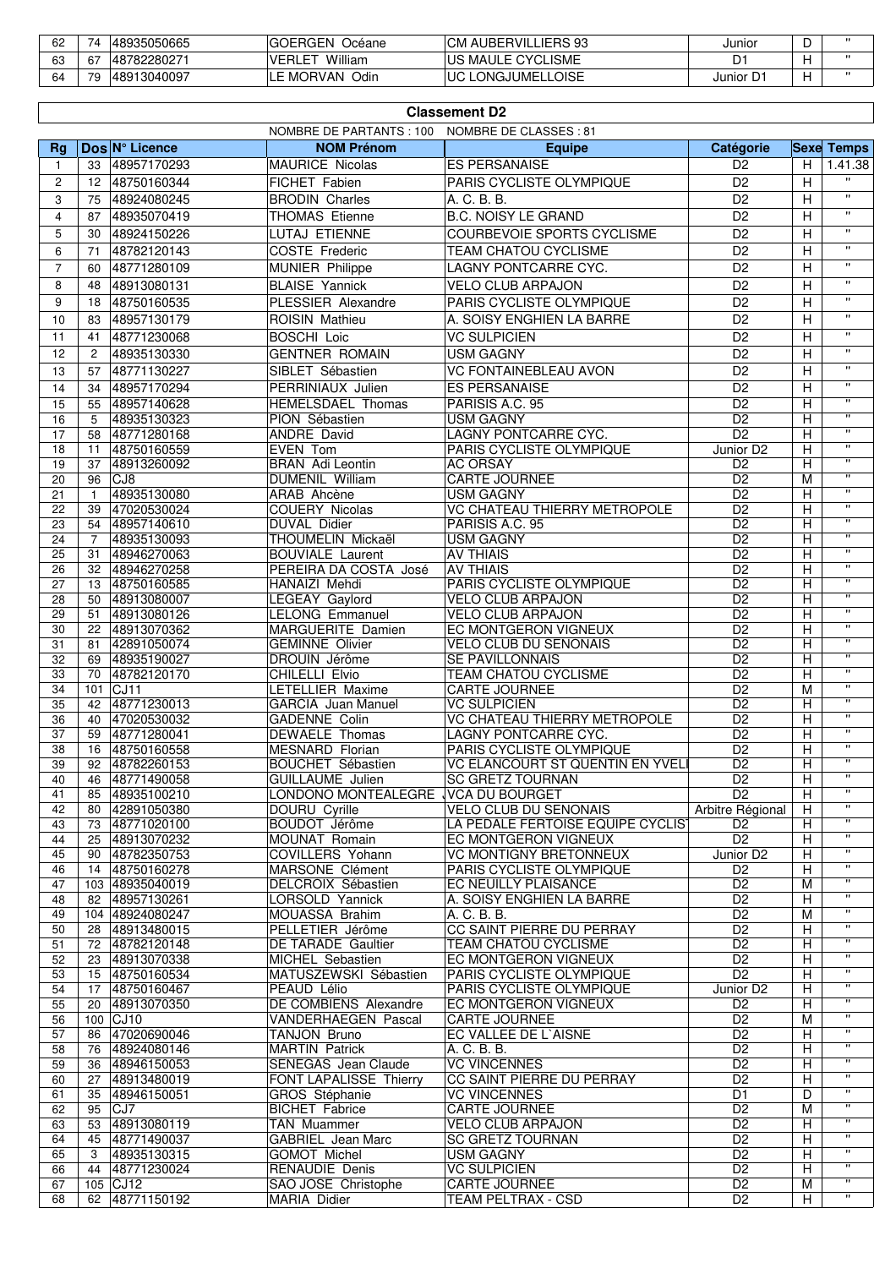| 62 | 48935050665<br>$\overline{\phantom{a}}$ | <b>GOERGEN</b><br>Océane | I AUBERVILLIERS 93<br>CМ | Junior   | ◡ |                   |
|----|-----------------------------------------|--------------------------|--------------------------|----------|---|-------------------|
| 63 | 48782280271<br>67                       | William<br><b>VERLE</b>  | IUS MAULE CYCLISME       | D.       |   | $^{\prime\prime}$ |
| 64 | 70<br>148913040097                      | - MORVAN Odir            | LONGJUMELLOISE<br>UC     | Junior ' |   | .,                |

|                | <b>Classement D2</b> |                                |                                               |                                                   |                                  |        |                         |  |  |
|----------------|----------------------|--------------------------------|-----------------------------------------------|---------------------------------------------------|----------------------------------|--------|-------------------------|--|--|
| <b>Rg</b>      |                      | Dos N° Licence                 | NOMBRE DE PARTANTS : 100<br><b>NOM Prénom</b> | NOMBRE DE CLASSES : 81<br><b>Equipe</b>           | Catégorie                        |        | <b>Sexe Temps</b>       |  |  |
| $\overline{1}$ | 33                   | 48957170293                    | <b>MAURICE Nicolas</b>                        | <b>ES PERSANAISE</b>                              | D <sub>2</sub>                   | H      | 1.41.38                 |  |  |
| 2              | 12                   | 48750160344                    | FICHET Fabien                                 | PARIS CYCLISTE OLYMPIQUE                          | D <sub>2</sub>                   | H      |                         |  |  |
| 3              | 75                   | 48924080245                    | <b>BRODIN Charles</b>                         | A. C. B. B.                                       | D <sub>2</sub>                   | н      | $\mathbf{H}$            |  |  |
| $\overline{4}$ | 87                   | 48935070419                    | <b>THOMAS Etienne</b>                         | <b>B.C. NOISY LE GRAND</b>                        | $\overline{D2}$                  | H      | $\mathbf{u}$            |  |  |
| 5              | 30                   | 48924150226                    | <b>LUTAJ ETIENNE</b>                          | COURBEVOIE SPORTS CYCLISME                        | D <sub>2</sub>                   | H      | $\mathbf{H}$            |  |  |
| 6              | 71                   | 48782120143                    | COSTE Frederic                                | TEAM CHATOU CYCLISME                              | $\overline{D2}$                  | Η      | $\mathbf{H}$            |  |  |
| $\overline{7}$ | 60                   | 48771280109                    | <b>MUNIER Philippe</b>                        | LAGNY PONTCARRE CYC.                              | $\overline{D2}$                  | H      | $\pmb{\mathsf{H}}$      |  |  |
| 8              | 48                   | 48913080131                    | <b>BLAISE Yannick</b>                         | <b>VELO CLUB ARPAJON</b>                          | D <sub>2</sub>                   | H      | $\pmb{\mathsf{H}}$      |  |  |
| 9              | 18                   | 48750160535                    | <b>PLESSIER Alexandre</b>                     | PARIS CYCLISTE OLYMPIQUE                          | D <sub>2</sub>                   | H      | $\mathbf{u}$            |  |  |
| 10             | 83                   | 48957130179                    | ROISIN Mathieu                                | A. SOISY ENGHIEN LA BARRE                         | D <sub>2</sub>                   | Η      | $\mathbf{H}$            |  |  |
| 11             | 41                   | 48771230068                    | <b>BOSCHI Loic</b>                            | <b>VC SULPICIEN</b>                               | D <sub>2</sub>                   | Н      | $\mathbf{H}$            |  |  |
| 12             | $\overline{c}$       | 48935130330                    | <b>GENTNER ROMAIN</b>                         | <b>USM GAGNY</b>                                  | D <sub>2</sub>                   | н      | $\pmb{\mathsf{H}}$      |  |  |
| 13             | 57                   | 48771130227                    | SIBLET Sébastien                              | <b>VC FONTAINEBLEAU AVON</b>                      | D <sub>2</sub>                   | H      | $\pmb{\mathsf{H}}$      |  |  |
|                |                      |                                | PERRINIAUX Julien                             |                                                   | $\overline{D2}$                  | H      | $\mathbf{u}$            |  |  |
| 14<br>15       | 34<br>55             | 48957170294<br>48957140628     | <b>HEMELSDAEL Thomas</b>                      | <b>ES PERSANAISE</b><br>PARISIS A.C. 95           | D <sub>2</sub>                   |        | $\mathbf{H}$            |  |  |
| 16             | 5                    | 48935130323                    | PION Sébastien                                | <b>USM GAGNY</b>                                  | $\overline{D2}$                  | Η<br>н | $\overline{\mathbf{u}}$ |  |  |
| 17             | 58                   | 48771280168                    | ANDRE David                                   | LAGNY PONTCARRE CYC.                              | $\overline{D2}$                  | Н      | $\pmb{\mathsf{H}}$      |  |  |
| 18             | 11                   | 48750160559                    | EVEN Tom                                      | PARIS CYCLISTE OLYMPIQUE                          | Junior D <sub>2</sub>            | н      | π                       |  |  |
| 19             | 37                   | 48913260092                    | <b>BRAN</b> Adi Leontin                       | <b>AC ORSAY</b>                                   | D <sub>2</sub>                   | Η      | π                       |  |  |
| 20             | 96                   | CJ8                            | DUMENIL William                               | CARTE JOURNEE                                     | D <sub>2</sub>                   | М      | $\pmb{\mathsf{H}}$      |  |  |
| 21             | $\mathbf{1}$         | 48935130080                    | ARAB Ahcène                                   | <b>USM GAGNY</b>                                  | D <sub>2</sub>                   | н      | $\overline{\mathbf{u}}$ |  |  |
| 22             | 39                   | 47020530024                    | <b>COUERY Nicolas</b>                         | <b>VC CHATEAU THIERRY METROPOLE</b>               | D <sub>2</sub>                   | Н      | π                       |  |  |
| 23             | 54                   | 48957140610                    | DUVAL Didier                                  | PARISIS A.C. 95                                   | D <sub>2</sub>                   | н      | π                       |  |  |
| 24             | 7                    | 48935130093                    | THOUMELIN Mickaël                             | <b>USM GAGNY</b>                                  | D <sub>2</sub>                   | Н      | π<br>π                  |  |  |
| 25             | 31                   | 48946270063                    | <b>BOUVIALE Laurent</b>                       | <b>AV THIAIS</b>                                  | $\overline{D2}$                  | Η      | $\mathbf{H}$            |  |  |
| 26<br>27       | 32<br>13             | 48946270258<br>48750160585     | PEREIRA DA COSTA José<br>HANAIZI Mehdi        | <b>AV THIAIS</b><br>PARIS CYCLISTE OLYMPIQUE      | D <sub>2</sub><br>D <sub>2</sub> | Η<br>н | π                       |  |  |
| 28             | 50                   | 48913080007                    | LEGEAY Gaylord                                | <b>VELO CLUB ARPAJON</b>                          | D <sub>2</sub>                   | Н      | π                       |  |  |
| 29             | 51                   | 48913080126                    | <b>LELONG Emmanuel</b>                        | <b>VELO CLUB ARPAJON</b>                          | $\overline{D2}$                  | Η      | $\mathbf{H}$            |  |  |
| 30             | 22                   | 48913070362                    | <b>MARGUERITE Damien</b>                      | <b>EC MONTGERON VIGNEUX</b>                       | $\overline{D2}$                  | H      | π                       |  |  |
| 31             | 81                   | 42891050074                    | <b>GEMINNE Olivier</b>                        | <b>VELO CLUB DU SENONAIS</b>                      | D <sub>2</sub>                   | н      | $\pmb{\mathsf{H}}$      |  |  |
| 32             | 69                   | 48935190027                    | <b>DROUIN Jérôme</b>                          | SE PAVILLONNAIS                                   | D <sub>2</sub>                   | Η      | $\overline{\mathbf{u}}$ |  |  |
| 33             | 70                   | 48782120170                    | CHILELLI Elvio                                | TEAM CHATOU CYCLISME                              | D <sub>2</sub>                   | Н      | π                       |  |  |
| 34             | 101                  | CJ11                           | LETELLIER Maxime                              | <b>CARTE JOURNEE</b>                              | D <sub>2</sub>                   | М      | $\overline{\mathbf{u}}$ |  |  |
| 35             | 42                   | 48771230013                    | <b>GARCIA</b> Juan Manuel                     | <b>VC SULPICIEN</b>                               | D <sub>2</sub>                   | Η      | π<br>$\mathbf{H}$       |  |  |
| 36             | 40                   | 47020530032                    | GADENNE Colin<br><b>DEWAELE Thomas</b>        | <b>VC CHATEAU THIERRY METROPOLE</b>               | D <sub>2</sub>                   | H      | π                       |  |  |
| 37<br>38       | 59<br>16             | 48771280041<br>48750160558     | <b>MESNARD Florian</b>                        | LAGNY PONTCARRE CYC.<br>PARIS CYCLISTE OLYMPIQUE  | D <sub>2</sub><br>D <sub>2</sub> | Н<br>Н | $\mathbf{H}$            |  |  |
| 39             | 92                   | 48782260153                    | BOUCHET Sébastien                             | VC ELANCOURT ST QUENTIN EN YVEL                   | $\overline{D2}$                  | Н      | π                       |  |  |
| 40             | 46                   | 48771490058                    | <b>GUILLAUME Julien</b>                       | <b>SC GRETZ TOURNAN</b>                           | D <sub>2</sub>                   | H      | $\mathbf{H}$            |  |  |
| 41             | 85                   | 48935100210                    | LONDONO MONTEALEGRE VCA DU BOURGET            |                                                   | $\overline{D2}$                  | H      | $\overline{\mathbf{u}}$ |  |  |
| 42             | 80                   | 42891050380                    | DOURU Cyrille                                 | <b>VELO CLUB DU SENONAIS</b>                      | Arbitre Régional                 | Н      | π                       |  |  |
| 43             | 73                   | 48771020100                    | BOUDOT Jérôme                                 | LA PÉDALE FERTOISE EQUIPE CYCLIST                 | D <sub>2</sub>                   | Η      | $\mathbf{H}$            |  |  |
| 44             | 25                   | 48913070232                    | MOUNAT Romain                                 | EC MONTGERON VIGNEUX                              | D <sub>2</sub>                   | Н      | π                       |  |  |
| 45             | 90                   | 48782350753                    | COVILLERS Yohann                              | <b>VC MONTIGNY BRETONNEUX</b>                     | Junior D <sub>2</sub>            | Н      | $\pmb{\mathsf{H}}$<br>π |  |  |
| 46             | 14                   | 48750160278                    | MARSONE Clément                               | PARIS CYCLISTE OLYMPIQUE                          | D <sub>2</sub><br>D2             | Н      | $\mathbf{H}$            |  |  |
| 47<br>48       | 82                   | 103 48935040019<br>48957130261 | DELCROIX Sébastien<br>LORSOLD Yannick         | EC NEUILLY PLAISANCE<br>A. SOISY ENGHIEN LA BARRE | D <sub>2</sub>                   | M<br>Н | π                       |  |  |
| 49             |                      | 104 48924080247                | MOUASSA Brahim                                | A. C. B. B.                                       | D <sub>2</sub>                   | M      | π                       |  |  |
| 50             | 28                   | 48913480015                    | PELLETIER Jérôme                              | CC SAINT PIERRE DU PERRAY                         | D <sub>2</sub>                   | Н      | $\mathbf{H}$            |  |  |
| 51             | 72                   | 48782120148                    | DE TARADE Gaultier                            | TEAM CHATOU CYCLISME                              | D <sub>2</sub>                   | н      | $\mathbf{H}$            |  |  |
| 52             | 23                   | 48913070338                    | MICHEL Sebastien                              | EC MONTGERON VIGNEUX                              | D <sub>2</sub>                   | н      | $\pmb{\mathsf{H}}$      |  |  |
| 53             | 15                   | 48750160534                    | MATUSZEWSKI Sébastien                         | PARIS CYCLISTE OLYMPIQUE                          | D <sub>2</sub>                   | н      | π                       |  |  |
| 54             | 17                   | 48750160467                    | PEAUD Lélio                                   | PARIS CYCLISTE OLYMPIQUE                          | Junior D <sub>2</sub>            | н      | $\mathbf{H}$            |  |  |
| 55             | 20                   | 48913070350                    | DE COMBIENS Alexandre                         | EC MONTGERON VIGNEUX                              | D <sub>2</sub>                   | Н      | π                       |  |  |
| 56             |                      | 100 CJ10                       | VANDERHAEGEN Pascal                           | <b>CARTE JOURNEE</b>                              | D <sub>2</sub>                   | M      | π                       |  |  |
| 57             | 86                   | 47020690046                    | <b>TANJON Bruno</b>                           | EC VALLEE DE L'AISNE                              | D <sub>2</sub>                   | Н      | $\pmb{\mathsf{H}}$<br>π |  |  |
| 58             | 76                   | 48924080146                    | <b>MARTIN Patrick</b>                         | A. C. B. B.                                       | D <sub>2</sub><br>D2             | н      | $\mathbf{H}$            |  |  |
| 59<br>60       | 36<br>27             | 48946150053<br>48913480019     | SENEGAS Jean Claude<br>FONT LAPALISSE Thierry | <b>VC VINCENNES</b><br>CC SAINT PIERRE DU PERRAY  | D <sub>2</sub>                   | н<br>Η | π                       |  |  |
| 61             | 35                   | 48946150051                    | GROS Stéphanie                                | <b>VC VINCENNES</b>                               | D <sub>1</sub>                   | D      | $\pmb{\mathsf{H}}$      |  |  |
| 62             | 95                   | CJ7                            | <b>BICHET Fabrice</b>                         | <b>CARTE JOURNEE</b>                              | D <sub>2</sub>                   | M      | $\mathbf{H}$            |  |  |
| 63             | 53                   | 48913080119                    | TAN Muammer                                   | <b>VELO CLUB ARPAJON</b>                          | D2                               | Н      | π                       |  |  |
| 64             | 45                   | 48771490037                    | GABRIEL Jean Marc                             | <b>SC GRETZ TOURNAN</b>                           | D <sub>2</sub>                   | н      | $\pmb{\mathsf{H}}$      |  |  |
| 65             | 3                    | 48935130315                    | <b>GOMOT Michel</b>                           | <b>USM GAGNY</b>                                  | D <sub>2</sub>                   | Н      | $\mathbf{H}$            |  |  |
| 66             | 44                   | 48771230024                    | <b>RENAUDIE Denis</b>                         | <b>VC SULPICIEN</b>                               | D <sub>2</sub>                   | н      | $\pmb{\mathsf{H}}$      |  |  |
| 67             |                      | 105 CJ12                       | SAO JOSE Christophe                           | CARTE JOURNEE                                     | D <sub>2</sub>                   | М      | π                       |  |  |
| 68             | 62                   | 48771150192                    | MARIA Didier                                  | TEAM PELTRAX - CSD                                | D <sub>2</sub>                   | н      | $\mathbf{H}$            |  |  |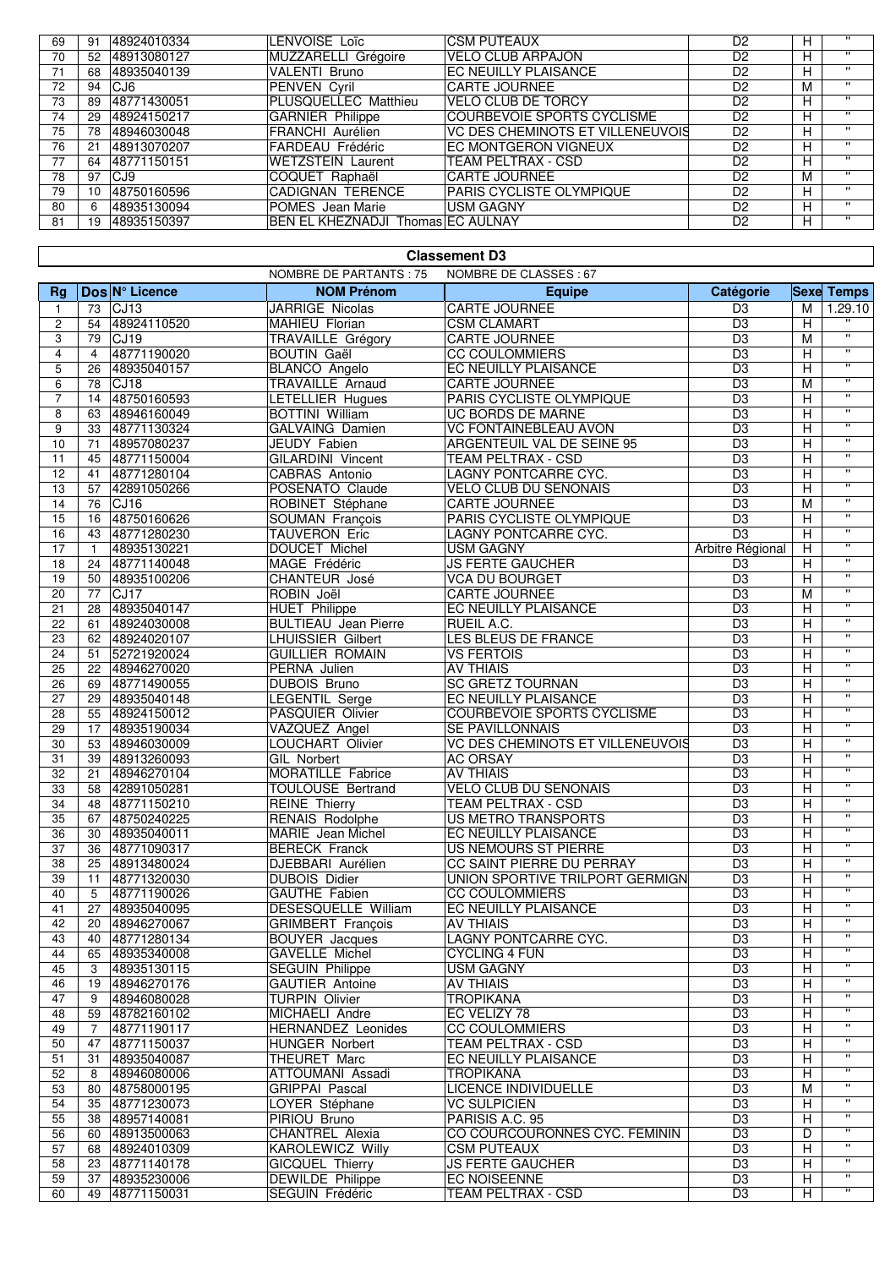| 69 | 91 | 48924010334 | LENVOISE Loïc                     | <b>CSM PUTEAUX</b>               | D <sub>2</sub> | н | $\mathbf{H}$   |
|----|----|-------------|-----------------------------------|----------------------------------|----------------|---|----------------|
| 70 | 52 | 48913080127 | MUZZARELLI Grégoire               | <b>VELO CLUB ARPAJON</b>         | D <sub>2</sub> |   | $\mathbf{H}$   |
| 71 | 68 | 48935040139 | <b>VALENTI Bruno</b>              | EC NEUILLY PLAISANCE             | D <sub>2</sub> | н | $\mathbf{H}$   |
| 72 | 94 | CJ6         | <b>PENVEN Cyril</b>               | <b>CARTE JOURNEE</b>             | D <sub>2</sub> | м | $\blacksquare$ |
| 73 | 89 | 48771430051 | PLUSQUELLEC Matthieu              | <b>VELO CLUB DE TORCY</b>        | D <sub>2</sub> | н | $\mathbf{H}$   |
| 74 | 29 | 48924150217 | <b>GARNIER Philippe</b>           | COURBEVOIE SPORTS CYCLISME       | D <sub>2</sub> | н | $\mathbf{H}$   |
| 75 | 78 | 48946030048 | <b>FRANCHI Aurélien</b>           | VC DES CHEMINOTS ET VILLENEUVOIS | D <sub>2</sub> | н | $\mathbf{H}$   |
| 76 | 21 | 48913070207 | FARDEAU Frédéric                  | EC MONTGERON VIGNEUX             | D <sub>2</sub> | н | $\mathbf{H}$   |
| 77 | 64 | 48771150151 | <b>WETZSTEIN Laurent</b>          | <b>TEAM PELTRAX - CSD</b>        | D <sub>2</sub> | н | $\mathbf{H}$   |
| 78 | 97 | CJ9         | COQUET Raphaël                    | <b>CARTE JOURNEE</b>             | D <sub>2</sub> | м | $\mathbf{H}$   |
| 79 | 10 | 48750160596 | <b>CADIGNAN TERENCE</b>           | <b>PARIS CYCLISTE OLYMPIQUE</b>  | D <sub>2</sub> | н | $\mathbf{H}$   |
| 80 | 6  | 48935130094 | POMES Jean Marie                  | <b>USM GAGNY</b>                 | D <sub>2</sub> | н | $\mathbf{H}$   |
| 81 | 9  | 48935150397 | BEN EL KHEZNADJI Thomas EC AULNAY |                                  | D <sub>2</sub> | н | $\mathbf{H}$   |
|    |    |             |                                   |                                  |                |   |                |

### **Classement D3**

|                 |                 |                            | NOMBRE DE PARTANTS : 75                           | NOMBRE DE CLASSES : 67                         |                  |                |                         |
|-----------------|-----------------|----------------------------|---------------------------------------------------|------------------------------------------------|------------------|----------------|-------------------------|
| <b>Rg</b>       |                 | Dos N° Licence             | <b>NOM Prénom</b>                                 | <b>Equipe</b>                                  | Catégorie        |                | <b>Sexe Temps</b>       |
| $\mathbf{1}$    | 73              | CJ13                       | <b>JARRIGE Nicolas</b>                            | <b>CARTE JOURNEE</b>                           | D <sub>3</sub>   | м              | 1.29.10                 |
| $\overline{c}$  | 54              | 48924110520                | MAHIEU Florian                                    | <b>CSM CLAMART</b>                             | $\overline{D3}$  | H              |                         |
| 3               | 79              | CJ <sub>19</sub>           | TRAVAILLE Grégory                                 | <b>CARTE JOURNEE</b>                           | D <sub>3</sub>   | М              | $\overline{\mathbf{u}}$ |
| 4               | $\overline{4}$  | 48771190020                | <b>BOUTIN Gaël</b>                                | <b>CC COULOMMIERS</b>                          | D <sub>3</sub>   | Н              | $\overline{\mathbf{u}}$ |
| 5               | 26              | 48935040157                | <b>BLANCO Angelo</b>                              | EC NEUILLY PLAISANCE                           | $\overline{D3}$  | $\overline{H}$ | π                       |
| 6               | 78              | CJ18                       | <b>TRAVAILLE Arnaud</b>                           | <b>CARTE JOURNEE</b>                           | D <sub>3</sub>   | M              | π                       |
| 7               | 14              | 48750160593                | LETELLIER Hugues                                  | PARIS CYCLISTE OLYMPIQUE                       | $\overline{D3}$  | Н              | π                       |
| 8               | 63              | 48946160049                | <b>BOTTINI William</b>                            | <b>UC BORDS DE MARNE</b>                       | D <sub>3</sub>   | H              | π                       |
| 9               | 33              | 48771130324                | <b>GALVAING Damien</b>                            | <b>VC FONTAINEBLEAU AVON</b>                   | D <sub>3</sub>   | Н              | $\pmb{\mathsf{H}}$      |
| 10              | 71              | 48957080237                | JEUDY Fabien                                      | ARGENTEUIL VAL DE SEINE 95                     | D <sub>3</sub>   | Н              | π                       |
| 11              | 45              | 48771150004                | <b>GILARDINI Vincent</b>                          | <b>TEAM PELTRAX - CSD</b>                      | D <sub>3</sub>   | H              | π                       |
| 12              | 41              | 48771280104                | <b>CABRAS Antonio</b>                             | LAGNY PONTCARRE CYC.                           | D <sub>3</sub>   | Н              | π                       |
| 13              | 57              | 42891050266                | POSENATO Claude                                   | <b>VELO CLUB DU SENONAIS</b>                   | D <sub>3</sub>   | Н              | $\overline{\mathbf{u}}$ |
| 14              | 76              | CJ <sub>16</sub>           | ROBINET Stéphane                                  | <b>CARTE JOURNEE</b>                           | D <sub>3</sub>   | M              | $\pmb{\mathsf{H}}$      |
| 15              | 16              | 48750160626                | <b>SOUMAN François</b>                            | PARIS CYCLISTE OLYMPIQUE                       | D <sub>3</sub>   | н              | π                       |
| 16              | 43              | 48771280230                | TAUVERON Eric                                     | LAGNY PONTCARRE CYC.                           | D <sub>3</sub>   | Н              | π                       |
| 17              | $\mathbf{1}$    | 48935130221                | <b>DOUCET Michel</b>                              | <b>USM GAGNY</b>                               | Arbitre Régional | Н              | π                       |
| 18              | 24              | 48771140048                | MAGE Frédéric                                     | <b>JS FERTE GAUCHER</b>                        | D <sub>3</sub>   | H              | $\overline{\mathbf{u}}$ |
| 19              | 50              | 48935100206                | CHANTEUR José                                     | <b>VCA DU BOURGET</b>                          | $\overline{D3}$  | H              | π                       |
| 20              | 77              | CJ17                       | ROBIN Joël                                        | <b>CARTE JOURNEE</b>                           | D <sub>3</sub>   | M              | $\overline{\mathbf{u}}$ |
| 21              | 28              | 48935040147                | <b>HUET Philippe</b>                              | EC NEUILLY PLAISANCE                           | D3               | Н              | π                       |
| 22              | 61              | 48924030008                | <b>BULTIEAU</b> Jean Pierre                       | RUEIL A.C.                                     | D <sub>3</sub>   | Н              | π                       |
| $\overline{23}$ | 62              | 48924020107                | <b>LHUISSIER Gilbert</b>                          | LES BLEUS DE FRANCE                            | $\overline{D3}$  | $\overline{H}$ | $\mathbf{H}$            |
| 24              | 51              | 52721920024                | <b>GUILLIER ROMAIN</b>                            | <b>VS FERTOIS</b>                              | D <sub>3</sub>   | Н              | $\overline{\mathbf{u}}$ |
| $\overline{25}$ | 22              | 48946270020                | PERNA Julien                                      | <b>AV THIAIS</b>                               | $\overline{D3}$  | H              | π                       |
| 26              | 69              | 48771490055                | <b>DUBOIS Bruno</b>                               | <b>SC GRETZ TOURNAN</b>                        | $\overline{D3}$  | $\overline{H}$ | $\mathbf{H}$            |
| 27              | 29              | 48935040148                | <b>LEGENTIL Serge</b>                             | EC NEUILLY PLAISANCE                           | $\overline{D3}$  | Н              | $\overline{\mathbf{u}}$ |
| 28              | 55              | 48924150012                | PASQUIER Olivier                                  | <b>COURBEVOIE SPORTS CYCLISME</b>              | D <sub>3</sub>   | H              | $\pmb{\mathsf{H}}$      |
| 29              | 17              | 48935190034                | VAZQUEZ Angel                                     | SE PAVILLONNAIS                                | D <sub>3</sub>   | $\overline{H}$ | π                       |
| 30              | 53              | 48946030009                | LOUCHART Olivier                                  | VC DES CHEMINOTS ET VILLENEUVOIS               | D <sub>3</sub>   | H              | π                       |
| 31              | 39              | 48913260093                | <b>GIL Norbert</b>                                | <b>AC ORSAY</b>                                | D <sub>3</sub>   | Н              | π                       |
| $\overline{32}$ | 21              | 48946270104                | <b>MORATILLE Fabrice</b>                          | <b>AV THIAIS</b>                               | $\overline{D3}$  | Н              | $\overline{\mathbf{u}}$ |
| 33              | 58              | 42891050281                | <b>TOULOUSE Bertrand</b>                          | <b>VELO CLUB DU SENONAIS</b>                   | $\overline{D3}$  | Н              | π                       |
| $\overline{34}$ | 48              | 48771150210                | <b>REINE Thierry</b>                              | <b>TEAM PELTRAX - CSD</b>                      | D <sub>3</sub>   | Н              | π                       |
| 35              | 67              | 48750240225                | <b>RENAIS Rodolphe</b>                            | <b>US METRO TRANSPORTS</b>                     | D <sub>3</sub>   | $\overline{H}$ | π                       |
| 36              | 30              | 48935040011                | MARIE Jean Michel                                 | EC NEUILLY PLAISANCE                           | D <sub>3</sub>   | Н              | $\overline{\mathbf{u}}$ |
| 37              | 36              | 48771090317                | <b>BERECK Franck</b>                              | US NEMOURS ST PIERRE                           | $\overline{D3}$  | Н              | $\mathbf{H}$            |
| 38              | 25              | 48913480024                | DJEBBARI Aurélien                                 | CC SAINT PIERRE DU PERRAY                      | $\overline{D3}$  | $\overline{H}$ | $\overline{\mathbf{u}}$ |
| 39              | 11              | 48771320030                | <b>DUBOIS Didier</b>                              | UNION SPORTIVE TRILPORT GERMIGN                | $\overline{D3}$  | Н              | $\mathbf{H}$            |
| 40              | 5               | 48771190026                | GAUTHE Fabien                                     | <b>CC COULOMMIERS</b>                          | $\overline{D3}$  | H              | $\mathbf{H}$            |
| 41              | $\overline{27}$ | 48935040095                | <b>DESESQUELLE William</b>                        | EC NEUILLY PLAISANCE                           | $\overline{D3}$  | $\overline{H}$ | $\overline{\mathbf{u}}$ |
| 42              | 20              | 48946270067                | <b>GRIMBERT</b> François                          | <b>AV THIAIS</b>                               | $\overline{D3}$  | Н              | $\mathbf{H}$            |
| 43              | 40              | 48771280134                | <b>BOUYER</b> Jacques                             | <b>LAGNY PONTCARRE CYC.</b>                    | $\overline{D3}$  | H              | $\overline{\mathbf{u}}$ |
| 44              | 65              | 48935340008                | GAVELLE Michel                                    | <b>CYCLING 4 FUN</b>                           | D <sub>3</sub>   | H              | $\pmb{\mathsf{H}}$      |
| 45              | 3               | 48935130115                | <b>SEGUIN Philippe</b>                            | <b>USM GAGNY</b>                               | D <sub>3</sub>   | $\overline{H}$ | π                       |
| 46              | 19              | 48946270176                | <b>GAUTIER Antoine</b>                            | <b>AV THIAIS</b>                               | $\overline{D3}$  | Н              | $\mathbf{H}$            |
| 47              | 9               | 48946080028                | <b>TURPIN Olivier</b>                             | <b>TROPIKANA</b>                               | D <sub>3</sub>   | Н              | π                       |
| 48              | 59              | 48782160102                | MICHAELI Andre                                    | EC VELIZY 78                                   | $\overline{D3}$  | Н              | $\mathbf{H}$            |
| 49              | 7               | 48771190117                | <b>HERNANDEZ Leonides</b>                         | <b>CC COULOMMIERS</b>                          | $\overline{D3}$  | Н              | $\pmb{\mathsf{H}}$      |
| 50              | 47              | 48771150037                | <b>HUNGER Norbert</b>                             | TEAM PELTRAX - CSD                             | D <sub>3</sub>   | Н              | $\pmb{\mathsf{H}}$      |
| 51              | 31              | 48935040087                | <b>THEURET Marc</b>                               | EC NEUILLY PLAISANCE                           | D <sub>3</sub>   | Н              | $\pmb{\mathsf{H}}$      |
| 52              | 8               | 48946080006                | ATTOUMANI Assadi                                  | <b>TROPIKANA</b>                               | D <sub>3</sub>   | Н              | π                       |
| 53              | 80              | 48758000195                | <b>GRIPPAI Pascal</b>                             | <b>LICENCE INDIVIDUELLE</b>                    | D <sub>3</sub>   | м              | $\pmb{\mathsf{H}}$      |
| 54              | 35              | 48771230073                | LOYER Stéphane                                    | <b>VC SULPICIEN</b>                            | $\overline{D3}$  | Н              | π                       |
| 55              | 38              | 48957140081                | PIRIOU Bruno                                      | PARISIS A.C. 95                                | D <sub>3</sub>   | $\overline{H}$ | π                       |
| 56              | 60              | 48913500063                | <b>CHANTREL Alexia</b>                            | CO COURCOURONNES CYC. FEMININ                  | D <sub>3</sub>   | D              | $\pmb{\mathsf{H}}$      |
| 57              | 68              | 48924010309                | <b>KAROLEWICZ Willy</b>                           | <b>CSM PUTEAUX</b>                             | $\overline{D3}$  | Н              | π                       |
| 58              | 23              |                            |                                                   |                                                | $\overline{D3}$  | Н              | $\mathbf{H}$            |
| 59              | 37              | 48771140178<br>48935230006 | <b>GICQUEL Thierry</b><br><b>DEWILDE Philippe</b> | <b>JS FERTE GAUCHER</b><br><b>EC NOISEENNE</b> | D <sub>3</sub>   | н              | $\mathbf{H}$            |
| 60              | 49              | 48771150031                | SEGUIN Frédéric                                   | TEAM PELTRAX - CSD                             | $\overline{D3}$  | H              | $\pmb{\mathsf{H}}$      |
|                 |                 |                            |                                                   |                                                |                  |                |                         |